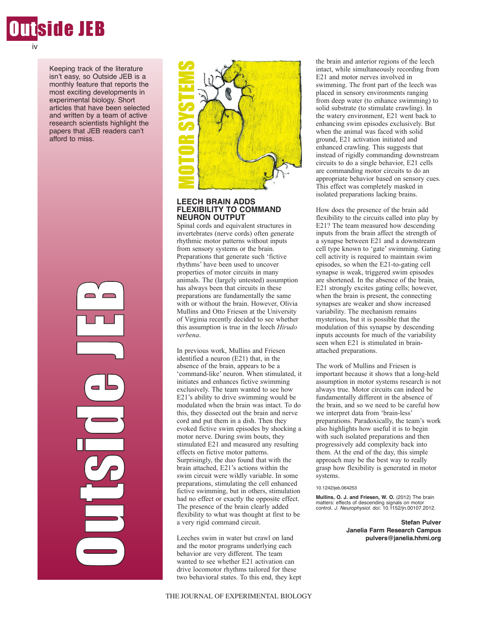

Keeping track of the literature isn't easy, so Outside JEB is a monthly feature that reports the most exciting developments in experimental biology. Short articles that have been selected and written by a team of active research scientists highlight the papers that JEB readers can't afford to miss.





## **LEECH BRAIN ADDS FLEXIBILITY TO COMMAND NEURON OUTPUT**

Spinal cords and equivalent structures in invertebrates (nerve cords) often generate rhythmic motor patterns without inputs from sensory systems or the brain. Preparations that generate such 'fictive rhythms' have been used to uncover properties of motor circuits in many animals. The (largely untested) assumption has always been that circuits in these preparations are fundamentally the same with or without the brain. However, Olivia Mullins and Otto Friesen at the University of Virginia recently decided to see whether this assumption is true in the leech *Hirudo verbena*.

In previous work, Mullins and Friesen identified a neuron (E21) that, in the absence of the brain, appears to be a 'command-like' neuron. When stimulated, it initiates and enhances fictive swimming exclusively. The team wanted to see how E21's ability to drive swimming would be modulated when the brain was intact. To do this, they dissected out the brain and nerve cord and put them in a dish. Then they evoked fictive swim episodes by shocking a motor nerve. During swim bouts, they stimulated E21 and measured any resulting effects on fictive motor patterns. Surprisingly, the duo found that with the brain attached, E21's actions within the swim circuit were wildly variable. In some preparations, stimulating the cell enhanced fictive swimming, but in others, stimulation had no effect or exactly the opposite effect. The presence of the brain clearly added flexibility to what was thought at first to be a very rigid command circuit. **EXERCT BRANIN ADDES (SEE THE STATE)**<br> **EXERCT BRANIN ADDES THE STATE STATE THE STATE IN THE STATE IN THE STATE INTO COMMAND NEURON OUTPUT invertednates and equivalent state in the internations and equivalent state is the** 

Leeches swim in water but crawl on land and the motor programs underlying each behavior are very different. The team wanted to see whether E21 activation can drive locomotor rhythms tailored for these the brain and anterior regions of the leech intact, while simultaneously recording from E21 and motor nerves involved in swimming. The front part of the leech was placed in sensory environments ranging from deep water (to enhance swimming) to solid substrate (to stimulate crawling). In the watery environment, E21 went back to enhancing swim episodes exclusively. But when the animal was faced with solid ground, E21 activation initiated and enhanced crawling. This suggests that instead of rigidly commanding downstream circuits to do a single behavior, E21 cells are commanding motor circuits to do an appropriate behavior based on sensory cues. This effect was completely masked in isolated preparations lacking brains.

How does the presence of the brain add flexibility to the circuits called into play by E21? The team measured how descending inputs from the brain affect the strength of a synapse between E21 and a downstream cell type known to 'gate' swimming. Gating cell activity is required to maintain swim episodes, so when the E21-to-gating cell synapse is weak, triggered swim episodes are shortened. In the absence of the brain, E21 strongly excites gating cells; however, when the brain is present, the connecting synapses are weaker and show increased variability. The mechanism remains mysterious, but it is possible that the modulation of this synapse by descending inputs accounts for much of the variability seen when E21 is stimulated in brainattached preparations.

The work of Mullins and Friesen is important because it shows that a long-held assumption in motor systems research is not always true. Motor circuits can indeed be fundamentally different in the absence of the brain, and so we need to be careful how we interpret data from 'brain-less' preparations. Paradoxically, the team's work also highlights how useful it is to begin with such isolated preparations and then progressively add complexity back into them. At the end of the day, this simple approach may be the best way to really grasp how flexibility is generated in motor systems.

### 10.1242/jeb.064253

**Mullins, O. J. and Friesen, W. O.** (2012) The brain matters: effects of descending signals on motor control. *J. Neurophysiol.* doi: 10.1152/jn.00107.2012.

> **Stefan Pulver Janelia Farm Research Campus pulvers@janelia.hhmi.org**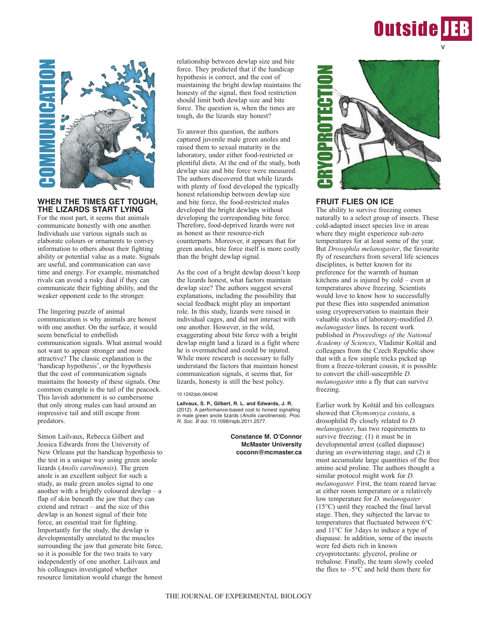



# **WHEN THE TIMES GET TOUGH, THE LIZARDS START LYING**

For the most part, it seems that animals communicate honestly with one another. Individuals use various signals such as elaborate colours or ornaments to convey information to others about their fighting ability or potential value as a mate. Signals are useful, and communication can save time and energy. For example, mismatched rivals can avoid a risky dual if they can communicate their fighting ability, and the weaker opponent cede to the stronger.

The lingering puzzle of animal communication is why animals are honest with one another. On the surface, it would seem beneficial to embellish communication signals. What animal would not want to appear stronger and more attractive? The classic explanation is the 'handicap hypothesis', or the hypothesis that the cost of communication signals maintains the honesty of these signals. One common example is the tail of the peacock. This lavish adornment is so cumbersome that only strong males can haul around an impressive tail and still escape from predators.

Simon Lailvaux, Rebecca Gilbert and Jessica Edwards from the University of New Orleans put the handicap hypothesis to the test in a unique way using green anole lizards (*Anolis carolinensis*). The green anole is an excellent subject for such a study, as male green anoles signal to one another with a brightly coloured dewlap – a flap of skin beneath the jaw that they can extend and retract – and the size of this dewlap is an honest signal of their bite force, an essential trait for fighting. Importantly for the study, the dewlap is developmentally unrelated to the muscles surrounding the jaw that generate bite force, so it is possible for the two traits to vary independently of one another. Lailvaux and his colleagues investigated whether resource limitation would change the honest

relationship between dewlap size and bite force. They predicted that if the handicap hypothesis is correct, and the cost of maintaining the bright dewlap maintains the honesty of the signal, then food restriction should limit both dewlap size and bite force. The question is, when the times are tough, do the lizards stay honest?

To answer this question, the authors captured juvenile male green anoles and raised them to sexual maturity in the laboratory, under either food-restricted or plentiful diets. At the end of the study, both dewlap size and bite force were measured. The authors discovered that while lizards with plenty of food developed the typically honest relationship between dewlap size and bite force, the food-restricted males developed the bright dewlaps without developing the corresponding bite force. Therefore, food-deprived lizards were not as honest as their resource-rich counterparts. Moreover, it appears that for green anoles, bite force itself is more costly than the bright dewlap signal.

As the cost of a bright dewlap doesn't keep the lizards honest, what factors maintain dewlap size? The authors suggest several explanations, including the possibility that social feedback might play an important role. In this study, lizards were raised in individual cages, and did not interact with one another. However, in the wild, exaggerating about bite force with a bright dewlap might land a lizard in a fight where he is overmatched and could be injured. While more research is necessary to fully understand the factors that maintain honest communication signals, it seems that, for lizards, honesty is still the best policy.

### 10.1242/jeb.064246

**Lailvaux, S. P., Gilbert, R. L. and Edwards, J. R.** (2012). A performance-based cost to honest signalling in male green anole lizards (*Anolis carolinensis*). *Proc. R. Soc. B* doi: 10.1098/rspb.2011.2577.

> **Constance M. O'Connor McMaster University coconn@mcmaster.ca**



## **FRUIT FLIES ON ICE**

The ability to survive freezing comes naturally to a select group of insects. These cold-adapted insect species live in areas where they might experience sub-zero temperatures for at least some of the year. But *Drosophila melanogaster*, the favourite fly of researchers from several life sciences disciplines, is better known for its preference for the warmth of human kitchens and is injured by cold – even at temperatures above freezing. Scientists would love to know how to successfully put these flies into suspended animation using cryopreservation to maintain their valuable stocks of laboratory-modified *D. melanogaster* lines. In recent work published in *Proceedings of the National Academy of Sciences*, Vladimir Koštál and colleagues from the Czech Republic show that with a few simple tricks picked up from a freeze-tolerant cousin, it is possible to convert the chill-susceptible *D. melanogaster* into a fly that can survive freezing.

Earlier work by Koštál and his colleagues showed that *Chymomyza costata*, a drosophilid fly closely related to *D. melanogaster*, has two requirements to survive freezing: (1) it must be in developmental arrest (called diapause) during an overwintering stage, and (2) it must accumulate large quantities of the free amino acid proline. The authors thought a similar protocol might work for *D. melanogaster.* First, the team reared larvae at either room temperature or a relatively low temperature for *D. melanogaster* (15°C) until they reached the final larval stage. Then, they subjected the larvae to temperatures that fluctuated between 6°C and 11°C for 3days to induce a type of diapause. In addition, some of the insects were fed diets rich in known cryoprotectants: glycerol, proline or trehalose. Finally, the team slowly cooled the flies to  $-5^{\circ}$ C and held them there for